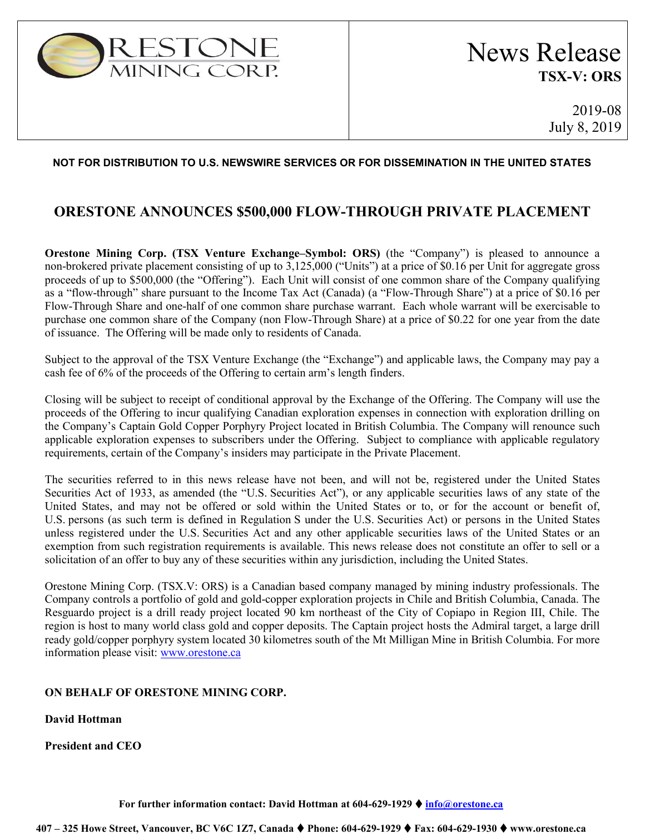

## **NOT FOR DISTRIBUTION TO U.S. NEWSWIRE SERVICES OR FOR DISSEMINATION IN THE UNITED STATES**

## **ORESTONE ANNOUNCES \$500,000 FLOW-THROUGH PRIVATE PLACEMENT**

**Orestone Mining Corp. (TSX Venture Exchange–Symbol: ORS)** (the "Company") is pleased to announce a non-brokered private placement consisting of up to 3,125,000 ("Units") at a price of \$0.16 per Unit for aggregate gross proceeds of up to \$500,000 (the "Offering"). Each Unit will consist of one common share of the Company qualifying as a "flow-through" share pursuant to the Income Tax Act (Canada) (a "Flow-Through Share") at a price of \$0.16 per Flow-Through Share and one-half of one common share purchase warrant. Each whole warrant will be exercisable to purchase one common share of the Company (non Flow-Through Share) at a price of \$0.22 for one year from the date of issuance. The Offering will be made only to residents of Canada.

Subject to the approval of the TSX Venture Exchange (the "Exchange") and applicable laws, the Company may pay a cash fee of 6% of the proceeds of the Offering to certain arm's length finders.

Closing will be subject to receipt of conditional approval by the Exchange of the Offering. The Company will use the proceeds of the Offering to incur qualifying Canadian exploration expenses in connection with exploration drilling on the Company's Captain Gold Copper Porphyry Project located in British Columbia. The Company will renounce such applicable exploration expenses to subscribers under the Offering. Subject to compliance with applicable regulatory requirements, certain of the Company's insiders may participate in the Private Placement.

The securities referred to in this news release have not been, and will not be, registered under the United States Securities Act of 1933, as amended (the "U.S. Securities Act"), or any applicable securities laws of any state of the United States, and may not be offered or sold within the United States or to, or for the account or benefit of, U.S. persons (as such term is defined in Regulation S under the U.S. Securities Act) or persons in the United States unless registered under the U.S. Securities Act and any other applicable securities laws of the United States or an exemption from such registration requirements is available. This news release does not constitute an offer to sell or a solicitation of an offer to buy any of these securities within any jurisdiction, including the United States.

Orestone Mining Corp. (TSX.V: ORS) is a Canadian based company managed by mining industry professionals. The Company controls a portfolio of gold and gold-copper exploration projects in Chile and British Columbia, Canada. The Resguardo project is a drill ready project located 90 km northeast of the City of Copiapo in Region III, Chile. The region is host to many world class gold and copper deposits. The Captain project hosts the Admiral target, a large drill ready gold/copper porphyry system located 30 kilometres south of the Mt Milligan Mine in British Columbia. For more information please visit: [www.orestone.ca](http://www.orestone.ca/)

## **ON BEHALF OF ORESTONE MINING CORP.**

**David Hottman**

**President and CEO**